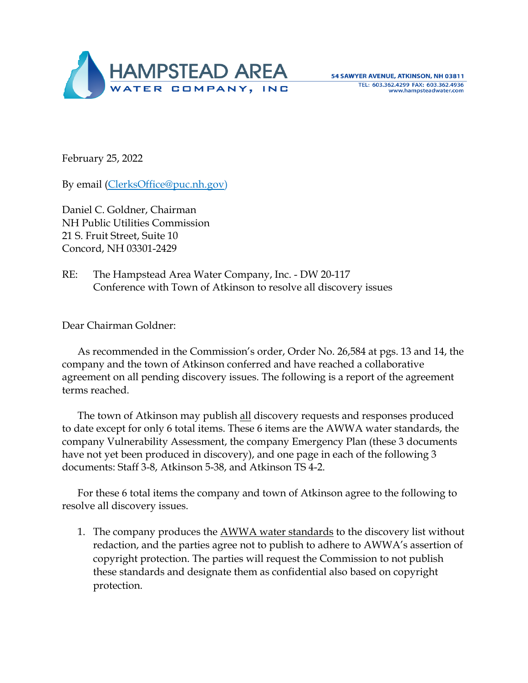

February 25, 2022

By email [\(ClerksOffice@puc.nh.gov\)](mailto:ClerksOffice@puc.nh.gov)

Daniel C. Goldner, Chairman NH Public Utilities Commission 21 S. Fruit Street, Suite 10 Concord, NH 03301-2429

RE: The Hampstead Area Water Company, Inc. - DW 20-117 Conference with Town of Atkinson to resolve all discovery issues

Dear Chairman Goldner:

As recommended in the Commission's order, Order No. 26,584 at pgs. 13 and 14, the company and the town of Atkinson conferred and have reached a collaborative agreement on all pending discovery issues. The following is a report of the agreement terms reached.

The town of Atkinson may publish all discovery requests and responses produced to date except for only 6 total items. These 6 items are the AWWA water standards, the company Vulnerability Assessment, the company Emergency Plan (these 3 documents have not yet been produced in discovery), and one page in each of the following 3 documents: Staff 3-8, Atkinson 5-38, and Atkinson TS 4-2.

For these 6 total items the company and town of Atkinson agree to the following to resolve all discovery issues.

1. The company produces the AWWA water standards to the discovery list without redaction, and the parties agree not to publish to adhere to AWWA's assertion of copyright protection. The parties will request the Commission to not publish these standards and designate them as confidential also based on copyright protection.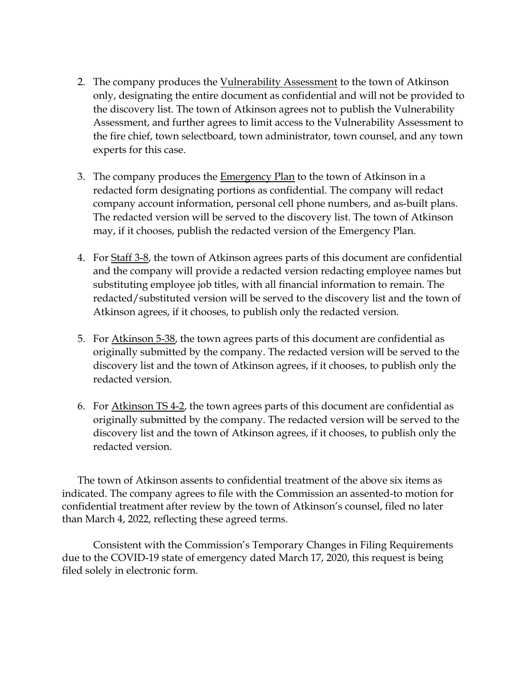- 2. The company produces the Vulnerability Assessment to the town of Atkinson only, designating the entire document as confidential and will not be provided to the discovery list. The town of Atkinson agrees not to publish the Vulnerability Assessment, and further agrees to limit access to the Vulnerability Assessment to the fire chief, town selectboard, town administrator, town counsel, and any town experts for this case.
- 3. The company produces the Emergency Plan to the town of Atkinson in a redacted form designating portions as confidential. The company will redact company account information, personal cell phone numbers, and as-built plans. The redacted version will be served to the discovery list. The town of Atkinson may, if it chooses, publish the redacted version of the Emergency Plan.
- 4. For Staff 3-8, the town of Atkinson agrees parts of this document are confidential and the company will provide a redacted version redacting employee names but substituting employee job titles, with all financial information to remain. The redacted/substituted version will be served to the discovery list and the town of Atkinson agrees, if it chooses, to publish only the redacted version.
- 5. For Atkinson 5-38, the town agrees parts of this document are confidential as originally submitted by the company. The redacted version will be served to the discovery list and the town of Atkinson agrees, if it chooses, to publish only the redacted version.
- 6. For Atkinson TS 4-2, the town agrees parts of this document are confidential as originally submitted by the company. The redacted version will be served to the discovery list and the town of Atkinson agrees, if it chooses, to publish only the redacted version.

The town of Atkinson assents to confidential treatment of the above six items as indicated. The company agrees to file with the Commission an assented-to motion for confidential treatment after review by the town of Atkinson's counsel, filed no later than March 4, 2022, reflecting these agreed terms.

Consistent with the Commission's Temporary Changes in Filing Requirements due to the COVID-19 state of emergency dated March 17, 2020, this request is being filed solely in electronic form.